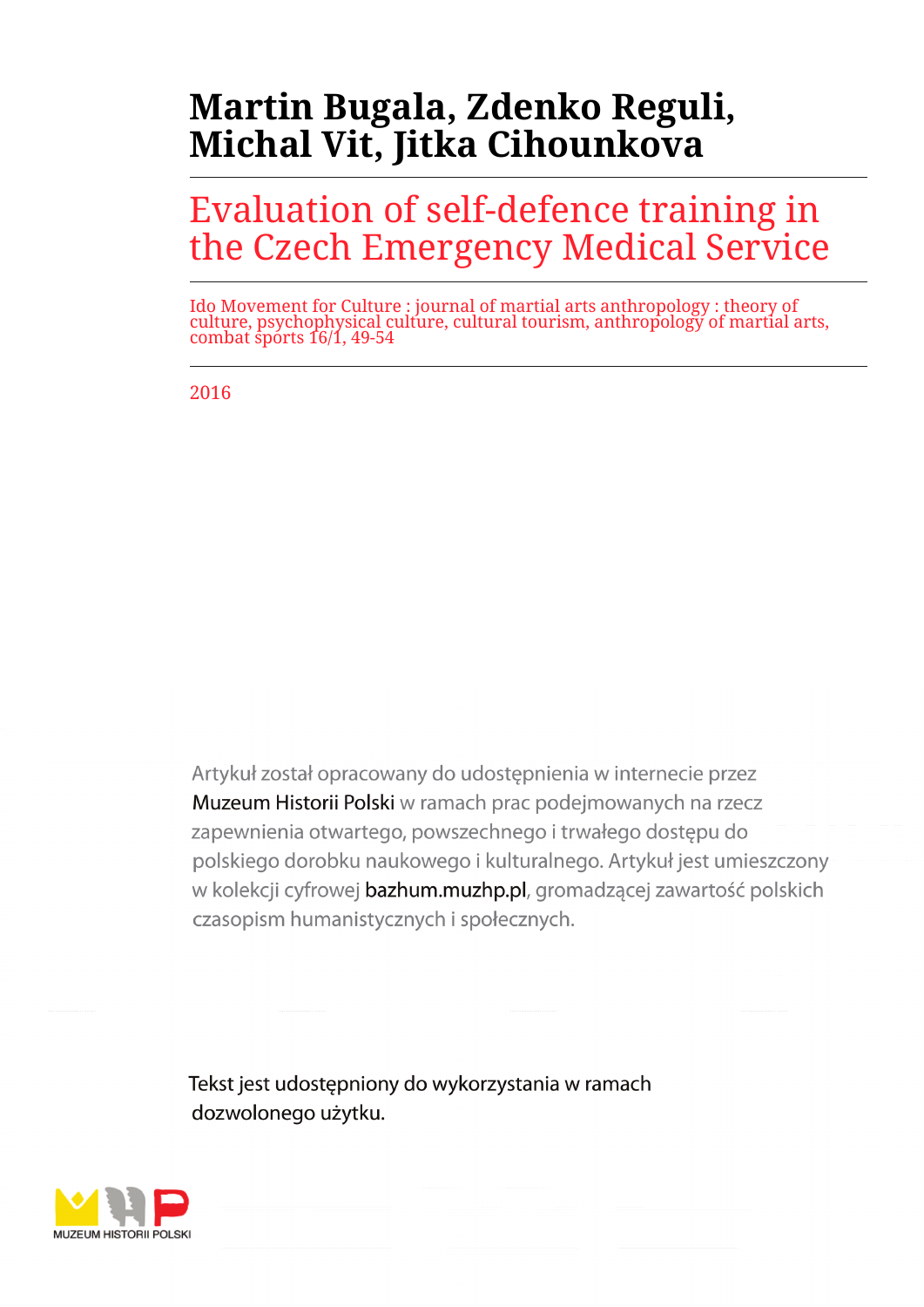# **Martin Bugala, Zdenko Reguli, Michal Vit, Jitka Cihounkova**

# Evaluation of self-defence training in the Czech Emergency Medical Service

Ido Movement for Culture : journal of martial arts anthropology : theory of culture, psychophysical culture, cultural tourism, anthropology of martial arts, combat sports 16/1, 49-54

2016

Artykuł został opracowany do udostepnienia w internecie przez Muzeum Historii Polski w ramach prac podejmowanych na rzecz zapewnienia otwartego, powszechnego i trwałego dostępu do polskiego dorobku naukowego i kulturalnego. Artykuł jest umieszczony w kolekcji cyfrowej bazhum.muzhp.pl, gromadzącej zawartość polskich czasopism humanistycznych i społecznych.

Tekst jest udostępniony do wykorzystania w ramach dozwolonego użytku.

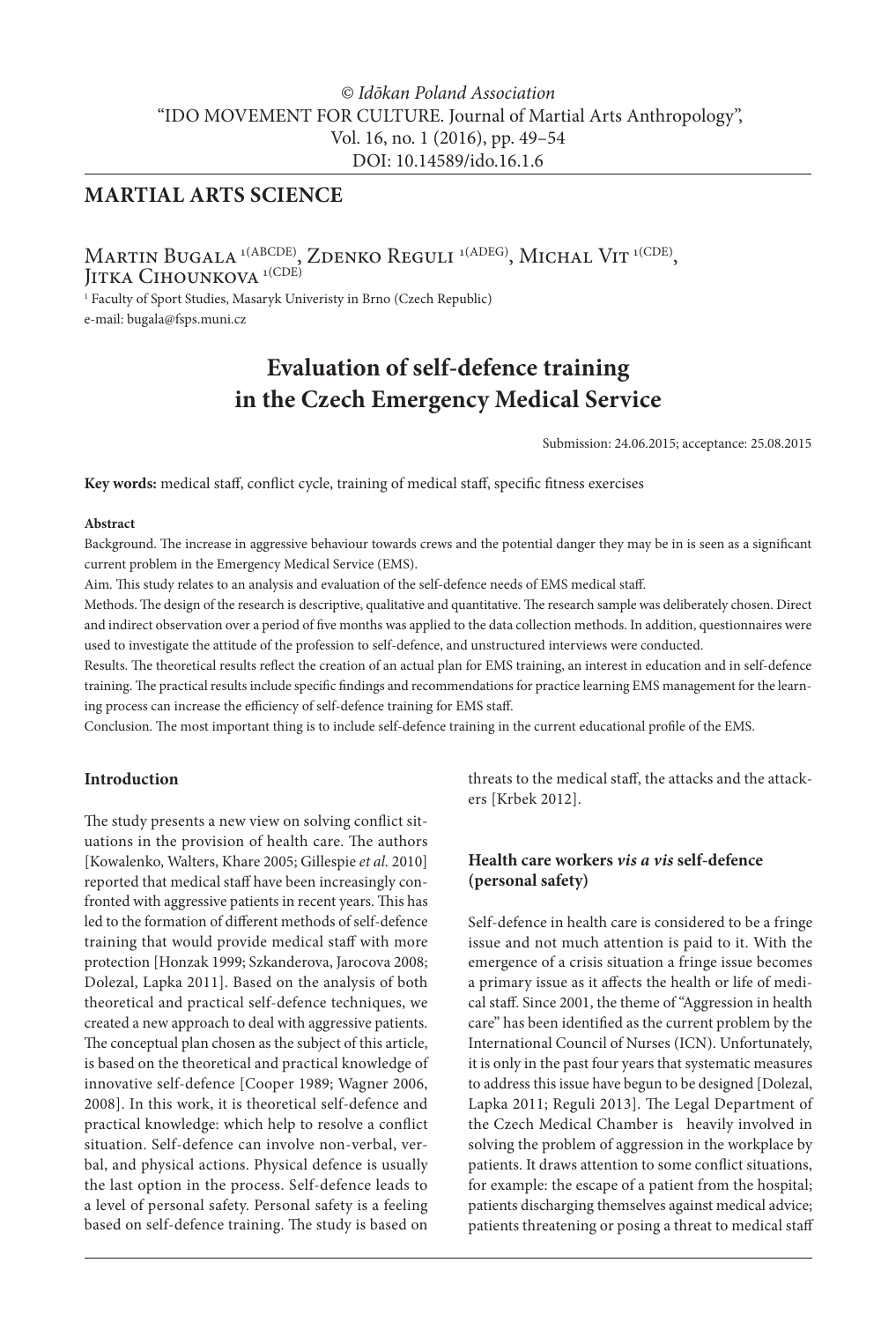### *© Idōkan Poland Association* "IDO MOVEMENT FOR CULTURE. Journal of Martial Arts Anthropology", Vol. 16, no. 1 (2016), pp. 49–54 DOI: 10.14589/ido.16.1.6

### **MARTIAL ARTS SCIENCE**

Martin Bugala <sup>1(ABCDE)</sup>, Zdenko Reguli <sup>1(ADEG)</sup>, Michal Vit <sup>1(CDE)</sup>, Jitka Cihounkova <sup>1(CDE)</sup>

1 Faculty of Sport Studies, Masaryk Univeristy in Brno (Czech Republic) e-mail: bugala@fsps.muni.cz

## **Evaluation of self-defence training in the Czech Emergency Medical Service**

Submission: 24.06.2015; acceptance: 25.08.2015

**Key words:** medical staff, conflict cycle, training of medical staff, specific fitness exercises

#### **Abstract**

Background. The increase in aggressive behaviour towards crews and the potential danger they may be in is seen as a significant current problem in the Emergency Medical Service (EMS).

Aim. This study relates to an analysis and evaluation of the self-defence needs of EMS medical staff.

Methods. The design of the research is descriptive, qualitative and quantitative. The research sample was deliberately chosen. Direct and indirect observation over a period of five months was applied to the data collection methods. In addition, questionnaires were used to investigate the attitude of the profession to self-defence, and unstructured interviews were conducted.

Results. The theoretical results reflect the creation of an actual plan for EMS training, an interest in education and in self-defence training. The practical results include specific findings and recommendations for practice learning EMS management for the learning process can increase the efficiency of self-defence training for EMS staff.

Conclusion. The most important thing is to include self-defence training in the current educational profile of the EMS.

#### **Introduction**

The study presents a new view on solving conflict situations in the provision of health care. The authors [Kowalenko, Walters, Khare 2005; Gillespie *et al.* 2010] reported that medical staff have been increasingly confronted with aggressive patients in recent years. This has led to the formation of different methods of self-defence training that would provide medical staff with more protection [Honzak 1999; Szkanderova, Jarocova 2008; Dolezal, Lapka 2011]. Based on the analysis of both theoretical and practical self-defence techniques, we created a new approach to deal with aggressive patients. The conceptual plan chosen as the subject of this article, is based on the theoretical and practical knowledge of innovative self-defence [Cooper 1989; Wagner 2006, 2008]. In this work, it is theoretical self-defence and practical knowledge: which help to resolve a conflict situation. Self-defence can involve non-verbal, verbal, and physical actions. Physical defence is usually the last option in the process. Self-defence leads to a level of personal safety. Personal safety is a feeling based on self-defence training. The study is based on

threats to the medical staff, the attacks and the attackers [Krbek 2012].

#### **Health care workers** *vis a vis* **self-defence (personal safety)**

Self-defence in health care is considered to be a fringe issue and not much attention is paid to it. With the emergence of a crisis situation a fringe issue becomes a primary issue as it affects the health or life of medical staff. Since 2001, the theme of "Aggression in health care" has been identified as the current problem by the International Council of Nurses (ICN). Unfortunately, it is only in the past four years that systematic measures to address this issue have begun to be designed [Dolezal, Lapka 2011; Reguli 2013]. The Legal Department of the Czech Medical Chamber is heavily involved in solving the problem of aggression in the workplace by patients. It draws attention to some conflict situations, for example: the escape of a patient from the hospital; patients discharging themselves against medical advice; patients threatening or posing a threat to medical staff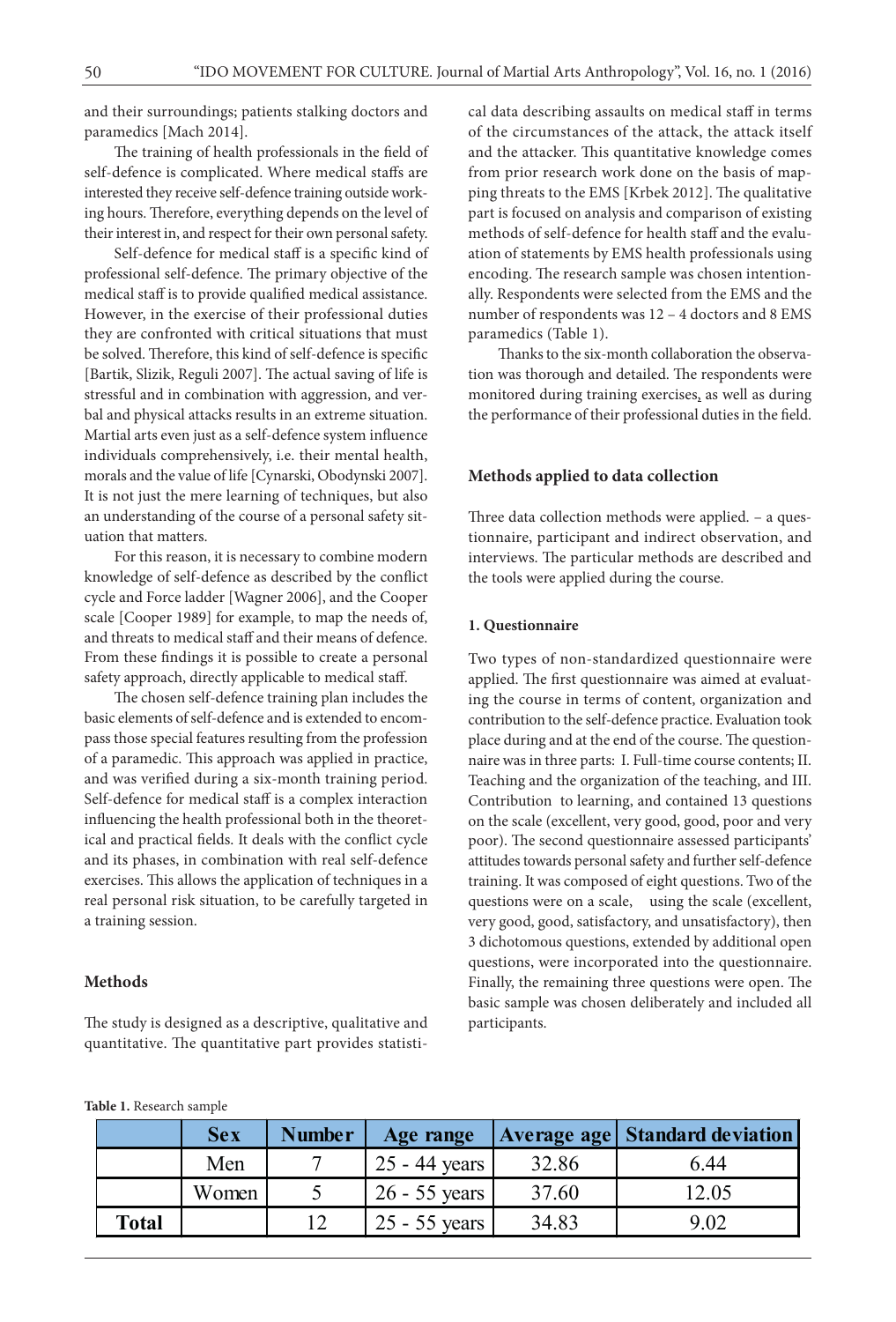and their surroundings; patients stalking doctors and paramedics [Mach 2014].

The training of health professionals in the field of self-defence is complicated. Where medical staffs are interested they receive self-defence training outside working hours. Therefore, everything depends on the level of their interest in, and respect for their own personal safety.

Self-defence for medical staff is a specific kind of professional self-defence. The primary objective of the medical staff is to provide qualified medical assistance. However, in the exercise of their professional duties they are confronted with critical situations that must be solved. Therefore, this kind of self-defence is specific [Bartik, Slizik, Reguli 2007]. The actual saving of life is stressful and in combination with aggression, and verbal and physical attacks results in an extreme situation. Martial arts even just as a self-defence system influence individuals comprehensively, i.e. their mental health, morals and the value of life [Cynarski, Obodynski 2007]. It is not just the mere learning of techniques, but also an understanding of the course of a personal safety situation that matters.

For this reason, it is necessary to combine modern knowledge of self-defence as described by the conflict cycle and Force ladder [Wagner 2006], and the Cooper scale [Cooper 1989] for example, to map the needs of, and threats to medical staff and their means of defence. From these findings it is possible to create a personal safety approach, directly applicable to medical staff.

The chosen self-defence training plan includes the basic elements of self-defence and is extended to encompass those special features resulting from the profession of a paramedic. This approach was applied in practice, and was verified during a six-month training period. Self-defence for medical staff is a complex interaction influencing the health professional both in the theoretical and practical fields. It deals with the conflict cycle and its phases, in combination with real self-defence exercises. This allows the application of techniques in a real personal risk situation, to be carefully targeted in a training session.

#### **Methods**

The study is designed as a descriptive, qualitative and quantitative. The quantitative part provides statistical data describing assaults on medical staff in terms of the circumstances of the attack, the attack itself and the attacker. This quantitative knowledge comes from prior research work done on the basis of mapping threats to the EMS [Krbek 2012]. The qualitative part is focused on analysis and comparison of existing methods of self-defence for health staff and the evaluation of statements by EMS health professionals using encoding. The research sample was chosen intentionally. Respondents were selected from the EMS and the number of respondents was 12 – 4 doctors and 8 EMS paramedics (Table 1).

Thanks to the six-month collaboration the observation was thorough and detailed. The respondents were monitored during training exercises, as well as during the performance of their professional duties in the field.

#### **Methods applied to data collection**

Three data collection methods were applied. – a questionnaire, participant and indirect observation, and interviews. The particular methods are described and the tools were applied during the course.

#### **1. Questionnaire**

Two types of non-standardized questionnaire were applied. The first questionnaire was aimed at evaluating the course in terms of content, organization and contribution to the self-defence practice. Evaluation took place during and at the end of the course. The questionnaire was in three parts: I. Full-time course contents; II. Teaching and the organization of the teaching, and III. Contribution to learning, and contained 13 questions on the scale (excellent, very good, good, poor and very poor). The second questionnaire assessed participants' attitudes towards personal safety and further self-defence training. It was composed of eight questions. Two of the questions were on a scale, using the scale (excellent, very good, good, satisfactory, and unsatisfactory), then 3 dichotomous questions, extended by additional open questions, were incorporated into the questionnaire. Finally, the remaining three questions were open. The basic sample was chosen deliberately and included all participants.

|  | Table 1. Research sample |  |
|--|--------------------------|--|
|--|--------------------------|--|

|       | <b>Sex</b> | <b>Number</b> | Age range       |       | <b>Average age   Standard deviation</b> |
|-------|------------|---------------|-----------------|-------|-----------------------------------------|
|       | Men        |               | 25 - 44 years   | 32.86 | 6.44                                    |
|       | Women      |               | $26 - 55$ years | 37.60 | 12.05                                   |
| Total |            |               | 25 - 55 years ' | 34.83 | 9.02                                    |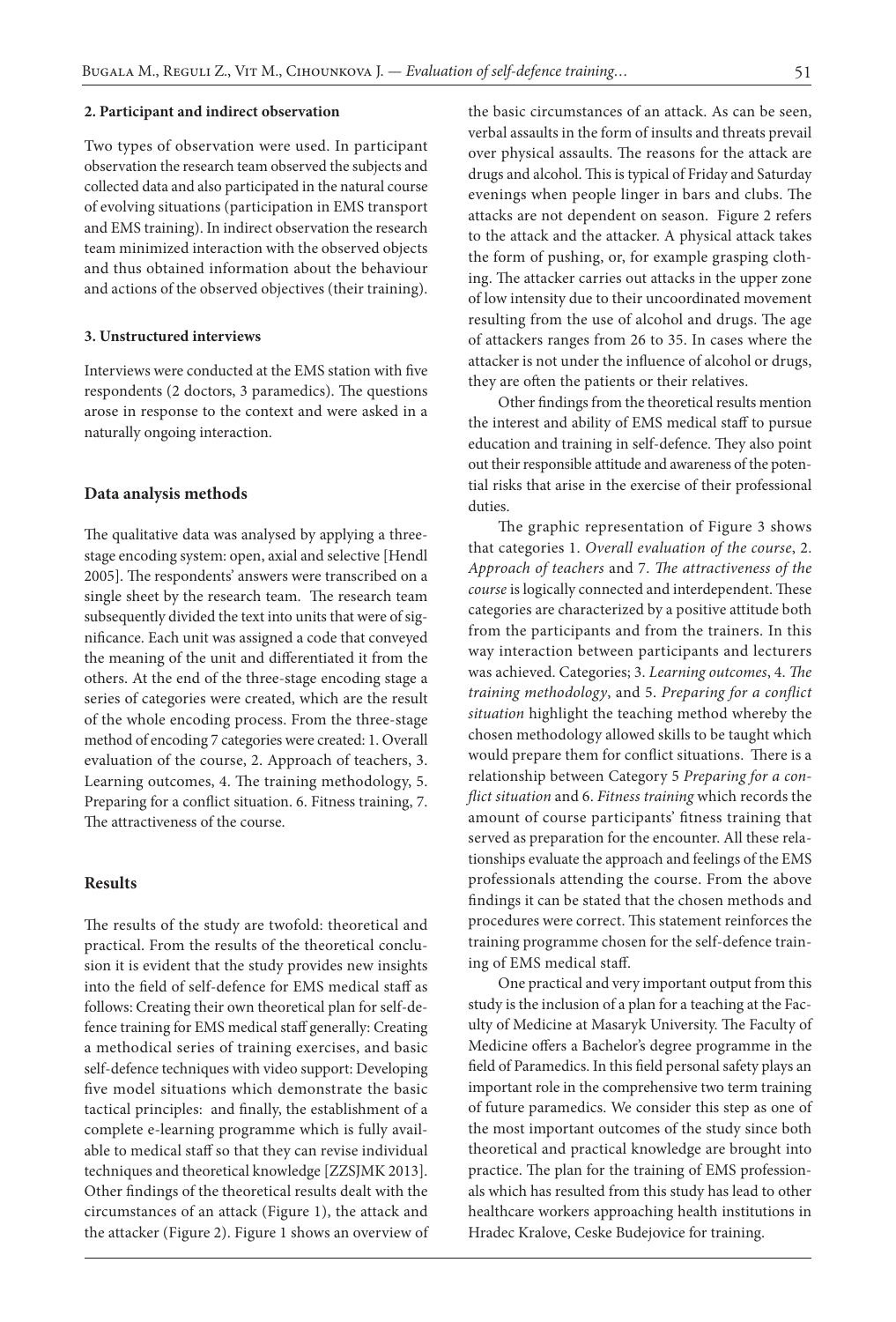#### **2. Participant and indirect observation**

Two types of observation were used. In participant observation the research team observed the subjects and collected data and also participated in the natural course of evolving situations (participation in EMS transport and EMS training). In indirect observation the research team minimized interaction with the observed objects and thus obtained information about the behaviour and actions of the observed objectives (their training).

#### **3. Unstructured interviews**

Interviews were conducted at the EMS station with five respondents (2 doctors, 3 paramedics). The questions arose in response to the context and were asked in a naturally ongoing interaction.

#### **Data analysis methods**

The qualitative data was analysed by applying a threestage encoding system: open, axial and selective [Hendl 2005]. The respondents' answers were transcribed on a single sheet by the research team. The research team subsequently divided the text into units that were of significance. Each unit was assigned a code that conveyed the meaning of the unit and differentiated it from the others. At the end of the three-stage encoding stage a series of categories were created, which are the result of the whole encoding process. From the three-stage method of encoding 7 categories were created: 1. Overall evaluation of the course, 2. Approach of teachers, 3. Learning outcomes, 4. The training methodology, 5. Preparing for a conflict situation. 6. Fitness training, 7. The attractiveness of the course.

#### **Results**

The results of the study are twofold: theoretical and practical. From the results of the theoretical conclusion it is evident that the study provides new insights into the field of self-defence for EMS medical staff as follows: Creating their own theoretical plan for self-defence training for EMS medical staff generally: Creating a methodical series of training exercises, and basic self-defence techniques with video support: Developing five model situations which demonstrate the basic tactical principles: and finally, the establishment of a complete e-learning programme which is fully available to medical staff so that they can revise individual techniques and theoretical knowledge [ZZSJMK 2013]. Other findings of the theoretical results dealt with the circumstances of an attack (Figure 1), the attack and the attacker (Figure 2). Figure 1 shows an overview of the basic circumstances of an attack. As can be seen, verbal assaults in the form of insults and threats prevail over physical assaults. The reasons for the attack are drugs and alcohol. This is typical of Friday and Saturday evenings when people linger in bars and clubs. The attacks are not dependent on season. Figure 2 refers to the attack and the attacker. A physical attack takes the form of pushing, or, for example grasping clothing. The attacker carries out attacks in the upper zone of low intensity due to their uncoordinated movement resulting from the use of alcohol and drugs. The age of attackers ranges from 26 to 35. In cases where the attacker is not under the influence of alcohol or drugs, they are often the patients or their relatives.

Other findings from the theoretical results mention the interest and ability of EMS medical staff to pursue education and training in self-defence. They also point out their responsible attitude and awareness of the potential risks that arise in the exercise of their professional duties.

The graphic representation of Figure 3 shows that categories 1. *Overall evaluation of the course*, 2. *Approach of teachers* and 7. *The attractiveness of the course* is logically connected and interdependent. These categories are characterized by a positive attitude both from the participants and from the trainers. In this way interaction between participants and lecturers was achieved. Categories; 3. *Learning outcomes*, 4. *The training methodology*, and 5. *Preparing for a conflict situation* highlight the teaching method whereby the chosen methodology allowed skills to be taught which would prepare them for conflict situations. There is a relationship between Category 5 *Preparing for a conflict situation* and 6. *Fitness training* which records the amount of course participants' fitness training that served as preparation for the encounter. All these relationships evaluate the approach and feelings of the EMS professionals attending the course. From the above findings it can be stated that the chosen methods and procedures were correct. This statement reinforces the training programme chosen for the self-defence training of EMS medical staff.

One practical and very important output from this study is the inclusion of a plan for a teaching at the Faculty of Medicine at Masaryk University. The Faculty of Medicine offers a Bachelor's degree programme in the field of Paramedics. In this field personal safety plays an important role in the comprehensive two term training of future paramedics. We consider this step as one of the most important outcomes of the study since both theoretical and practical knowledge are brought into practice. The plan for the training of EMS professionals which has resulted from this study has lead to other healthcare workers approaching health institutions in Hradec Kralove, Ceske Budejovice for training.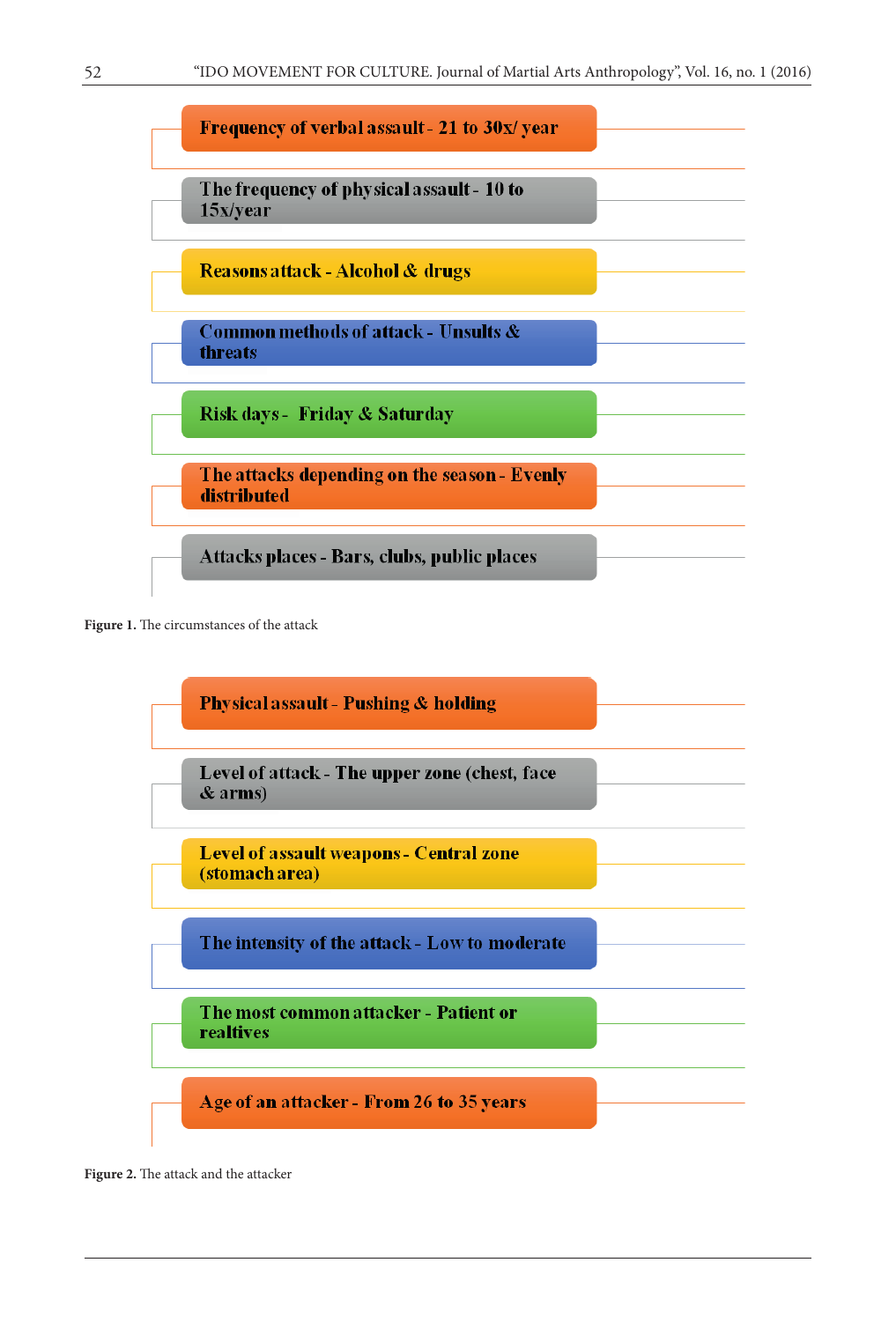

Figure 1. The circumstances of the attack



Figure 2. The attack and the attacker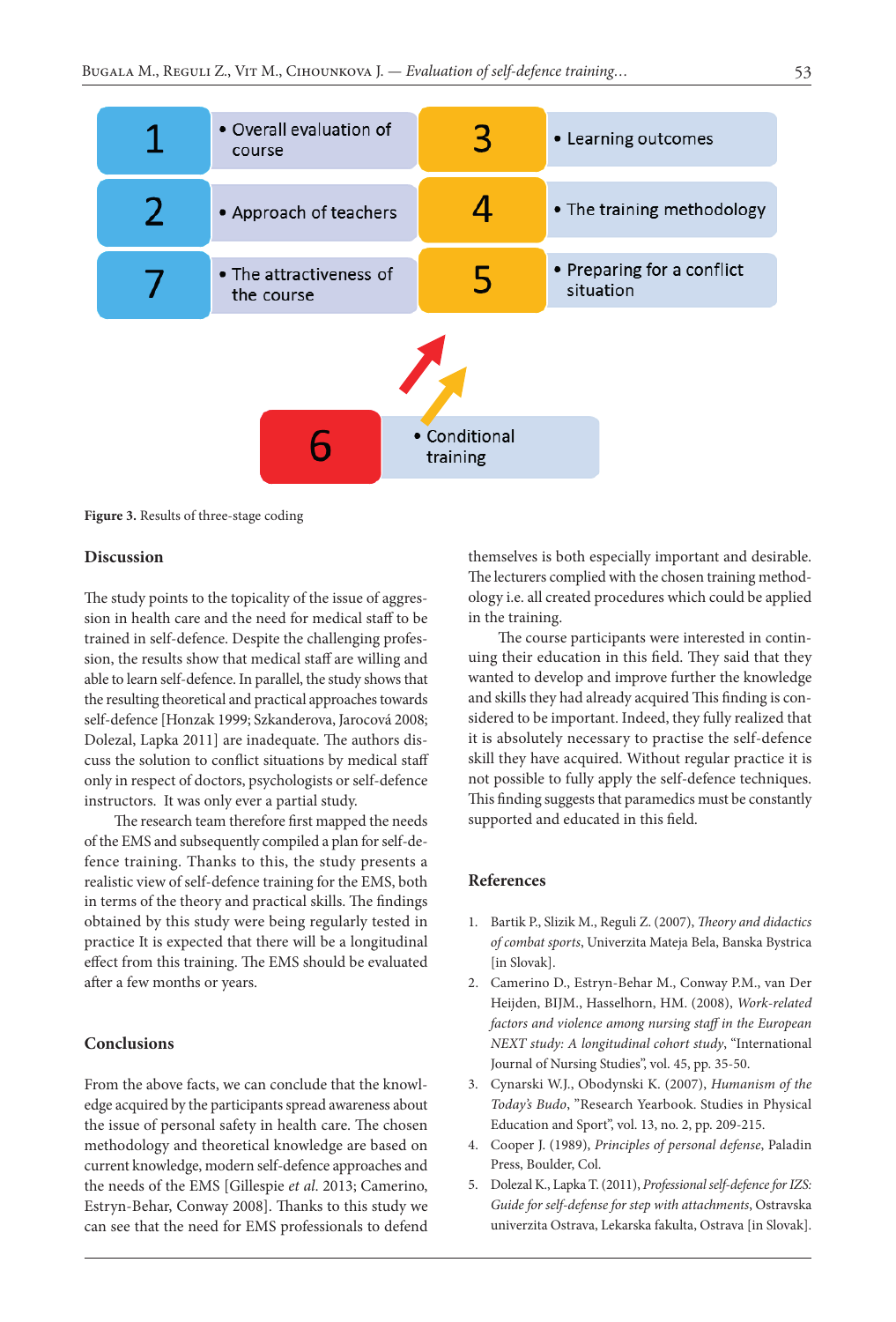

**Figure 3.** Results of three-stage coding

#### **Discussion**

The study points to the topicality of the issue of aggression in health care and the need for medical staff to be trained in self-defence. Despite the challenging profession, the results show that medical staff are willing and able to learn self-defence. In parallel, the study shows that the resulting theoretical and practical approaches towards self-defence [Honzak 1999; Szkanderova, Jarocová 2008; Dolezal, Lapka 2011] are inadequate. The authors discuss the solution to conflict situations by medical staff only in respect of doctors, psychologists or self-defence instructors. It was only ever a partial study.

The research team therefore first mapped the needs of the EMS and subsequently compiled a plan for self-defence training. Thanks to this, the study presents a realistic view of self-defence training for the EMS, both in terms of the theory and practical skills. The findings obtained by this study were being regularly tested in practice It is expected that there will be a longitudinal effect from this training. The EMS should be evaluated after a few months or years.

#### **Conclusions**

From the above facts, we can conclude that the knowledge acquired by the participants spread awareness about the issue of personal safety in health care. The chosen methodology and theoretical knowledge are based on current knowledge, modern self-defence approaches and the needs of the EMS [Gillespie *et al*. 2013; Camerino, Estryn-Behar, Conway 2008]. Thanks to this study we can see that the need for EMS professionals to defend

themselves is both especially important and desirable. The lecturers complied with the chosen training methodology i.e. all created procedures which could be applied in the training.

The course participants were interested in continuing their education in this field. They said that they wanted to develop and improve further the knowledge and skills they had already acquired This finding is considered to be important. Indeed, they fully realized that it is absolutely necessary to practise the self-defence skill they have acquired. Without regular practice it is not possible to fully apply the self-defence techniques. This finding suggests that paramedics must be constantly supported and educated in this field.

#### **References**

- 1. Bartik P., Slizik M., Reguli Z. (2007), *Theory and didactics of combat sports*, Univerzita Mateja Bela, Banska Bystrica [in Slovak].
- 2. Camerino D., Estryn-Behar M., Conway P.M., van Der Heijden, BIJM., Hasselhorn, HM. (2008), *Work-related factors and violence among nursing staff in the European NEXT study: A longitudinal cohort study*, "International Journal of Nursing Studies", vol. 45, pp. 35-50.
- 3. Cynarski W.J., Obodynski K. (2007), *Humanism of the Today's Budo*, "Research Yearbook. Studies in Physical Education and Sport", vol. 13, no. 2, pp. 209-215.
- 4. Cooper J. (1989), *Principles of personal defense*, Paladin Press, Boulder, Col.
- 5. Dolezal K., Lapka T. (2011), *Professional self-defence for IZS: Guide for self-defense for step with attachments*, Ostravska univerzita Ostrava, Lekarska fakulta, Ostrava [in Slovak].